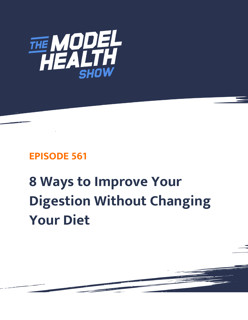

## **EPISODE 561**

## **8 Ways to Improve Your Digestion Without Changing Your Diet**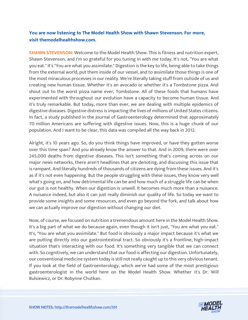## **You are now listening to The Model Health Show with Shawn Stevenson. For more, visit themodelhealthshow.com.**

**SHAWN STEVENSON:** Welcome to the Model Health Show. This is fitness and nutrition expert, Shawn Stevenson, and I'm so grateful for you tuning in with me today. It's not, "You are what you eat." It's "You are what you assimilate." Digestion is the key to life, being able to take things from the external world, put them inside of our vessel, and to assimilate those things is one of the most miraculous processes in our reality. We're literally taking stuff from outside of us and creating new human tissue. Whether it's an avocado or whether it's a Tombstone pizza. And shout out to the worst pizza name ever, Tombstone. All of these foods that humans have experimented with throughout our evolution have a capacity to become human tissue. And it's truly remarkable. But today, more than ever, we are dealing with multiple epidemics of digestive diseases. Digestive distress is impacting the lives of millions of United States citizens. In fact, a study published in the Journal of Gastroenterology determined that approximately 70 million Americans are suffering with digestive issues. Now, this is a huge chunk of our population. And I want to be clear, this data was compiled all the way back in 2012.

Alright, it's 10 years ago. So, do you think things have improved, or have they gotten worse over this time span? And you already know the answer to that. And in 2009, there were over 245,000 deaths from digestive diseases. This isn't something that's coming across on our major news networks, there aren't headlines that are denoting, and discussing this issue that is rampant. And literally hundreds of thousands of citizens are dying from these issues. And it's as if it's not even happening. But the people struggling with these issues, they know very well what's going on, and how detrimental life can be and how much of a struggle life can be when our gut is not healthy. When our digestion is unwell. It becomes much more than a nuisance. A nuisance indeed, but also it can just really diminish our quality of life. So today we want to provide some insights and some resources, and even go beyond the fork, and talk about how we can actually improve our digestion without changing our diet.

Now, of course, we focused on nutrition a tremendous amount here in the Model Health Show. It's a big part of what we do because again, even though it isn't just, "You are what you eat." It's, "You are what you assimilate." But food is obviously a major impact because it's what we are putting directly into our gastrointestinal tract. So obviously it's a frontline, high-impact situation that's interacting with our food. It's something very tangible that we can connect with. So cognitively, we can understand that our food is affecting our digestion. Unfortunately, our conventional medicine system today is still not really caught up to this very obvious tenant. If you look at the field of Gastroenterology, which we've had some of the most prestigious gastroenterologist in the world here on the Model Health Show. Whether it's Dr. Will Bulsiewicz, or Dr. Robynne Chutkan.

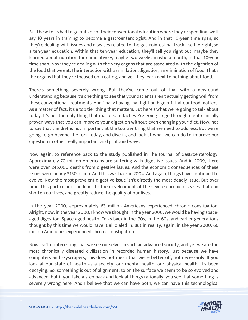But these folks had to go outside of their conventional education where they're spending, we'll say 10 years in training to become a gastroenterologist. And in that 10-year time span, so they're dealing with issues and diseases related to the gastrointestinal track itself. Alright, so a ten-year education. Within that ten-year education, they'll tell you right out, maybe they learned about nutrition for cumulatively, maybe two weeks, maybe a month, in that 10-year time span. Now they're dealing with the very organs that are associated with the digestion of the food that we eat. The interaction with assimilation, digestion, an elimination of food. That's the organs that they're focused on treating, and yet they learn next to nothing about food.

There's something severely wrong. But they've come out of that with a newfound understanding because it's one thing to see that your patients aren't actually getting well from these conventional treatments. And finally having that light bulb go off that our food matters. As a matter of fact, it's a top tier thing that matters. But here's what we're going to talk about today. It's not the only thing that matters. In fact, we're going to go through eight clinically proven ways that you can improve your digestion without even changing your diet. Now, not to say that the diet is not important at the top tier thing that we need to address. But we're going to go beyond the fork today, and dive in, and look at what we can do to improve our digestion in other really important and profound ways.

Now again, to reference back to the study published in The Journal of Gastroenterology. Approximately 70 million Americans are suffering with digestive issues. And in 2009, there were over 245,000 deaths from digestive issues. And the economic consequences of these issues were nearly \$150 billion. And this was back in 2004. And again, things have continued to evolve. Now the most prevalent digestive issue isn't directly the most deadly issue. But over time, this particular issue leads to the development of the severe chronic diseases that can shorten our lives, and greatly reduce the quality of our lives.

In the year 2000, approximately 63 million Americans experienced chronic constipation. Alright, now, in the year 2000, I know we thought in the year 2000, we would be having spaceaged digestion. Space-aged health. Folks back in the '70s, in the '60s, and earlier generations thought by this time we would have it all dialed in. But in reality, again, in the year 2000, 60 million Americans experienced chronic constipation.

Now, isn't it interesting that we see ourselves in such an advanced society, and yet we are the most chronically diseased civilization in recorded human history. Just because we have computers and skyscrapers, this does not mean that we're better off, not necessarily. If you look at our state of health as a society, our mental health, our physical health, it's been decaying. So, something is out of alignment, so on the surface we seem to be so evolved and advanced, but if you take a step back and look at things rationally, you see that something is [severely wrong here. And I believe that we can have both, we can have this technological](https://themodelhealthshow.com/podcasts/improve-your-digestion/) 

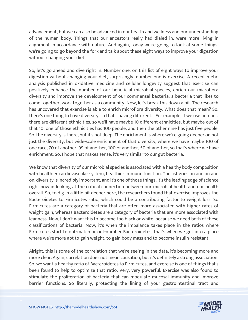advancement, but we can also be advanced in our health and wellness and our understanding of the human body. Things that our ancestors really had dialed in, were more living in alignment in accordance with nature. And again, today we're going to look at some things, we're going to go beyond the fork and talk about these eight ways to improve your digestion without changing your diet.

So, let's go ahead and dive right in. Number one, on this list of eight ways to improve your digestion without changing your diet, surprisingly, number one is exercise. A recent metaanalysis published in oxidative medicine and cellular longevity suggest that exercise can positively enhance the number of our beneficial microbial species, enrich our microflora diversity and improve the development of our commensal bacteria, a bacteria that likes to come together, work together as a community. Now, let's break this down a bit. The research has uncovered that exercise is able to enrich microflora diversity. What does that mean? So, there's one thing to have diversity, so that's having different... For example, if we use humans, there are different ethnicities, so we'll have maybe 10 different ethnicities, but maybe out of that 10, one of those ethnicities has 100 people, and then the other nine has just five people. So, the diversity is there, but it's not deep. The enrichment is where we're going deeper on not just the diversity, but wide-scale enrichment of that diversity, where we have maybe 100 of one race, 70 of another, 99 of another, 100 of another, 50 of another, so that's where we have enrichment. So, I hope that makes sense, it's very similar to our gut bacteria.

We know that diversity of our microbial species is associated with a healthy body composition with healthier cardiovascular system, healthier immune function. The list goes on and on and on, diversity is incredibly important, and it's one of those things, it's the leading edge of science right now in looking at the critical connection between our microbial health and our health overall. So, to dig in a little bit deeper here, the researchers found that exercise improves the Bacteroidetes to Firmicutes ratio, which could be a contributing factor to weight loss. So Firmicutes are a category of bacteria that are often more associated with higher rates of weight gain, whereas Bacteroidetes are a category of bacteria that are more associated with leanness. Now, I don't want this to become too black or white, because we need both of these classifications of bacteria. Now, it's when the imbalance takes place in the ratios where Firmicutes start to out-match or out-number Bacteroidetes, that's when we get into a place where we're more apt to gain weight, to gain body mass and to become insulin-resistant.

Alright, this is some of the correlation that we're seeing in the data, it's becoming more and more clear. Again, correlation does not mean causation, but it's definitely a strong association. So, we want a healthy ratio of Bacteroidetes to Firmicutes, and exercise is one of things that's been found to help to optimize that ratio. Very, very powerful. Exercise was also found to stimulate the proliferation of bacteria that can modulate mucosal immunity and improve [barrier functions. So literally, protecting the lining of your gastrointestinal tract and](https://themodelhealthshow.com/podcasts/improve-your-digestion/)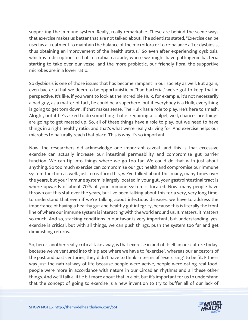supporting the immune system. Really, really remarkable. These are behind the scene ways that exercise makes us better that are not talked about. The scientists stated, "Exercise can be used as a treatment to maintain the balance of the microflora or to re-balance after dysbiosis, thus obtaining an improvement of the health status." So even after experiencing dysbiosis, which is a disruption to that microbial cascade, where we might have pathogenic bacteria starting to take over our vessel and the more probiotic, our friendly flora, the supportive microbes are in a lower ratio.

So dysbiosis is one of those issues that has become rampant in our society as well. But again, even bacteria that we deem to be opportunistic or "bad bacteria," we've got to keep that in perspective. It's like, if you want to look at the Incredible Hulk, for example, it's not necessarily a bad guy, as a matter of fact, he could be a superhero, but if everybody is a Hulk, everything is going to get torn down. If that makes sense. The Hulk has a role to play. He's here to smash. Alright, but if he's asked to do something that is requiring a scalpel, well, chances are things are going to get messed up. So, all of these things have a role to play, but we need to have things in a right healthy ratio, and that's what we're really striving for. And exercise helps our microbes to naturally reach that place. This is why it's so important.

Now, the researchers did acknowledge one important caveat, and this is that excessive exercise can actually increase our intestinal permeability and compromise gut barrier function. We can tip into things where we go too far. We could do that with just about anything. So too much exercise can compromise our gut health and compromise our immune system function as well. Just to reaffirm this, we've talked about this many, many times over the years, but your immune system is largely located in your gut, your gastrointestinal tract is where upwards of about 70% of your immune system is located. Now, many people have thrown out this stat over the years, but I've been talking about this for a very, very long time, to understand that even if we're talking about infectious diseases, we have to address the importance of having a healthy gut and healthy gut integrity, because this is literally the front line of where our immune system is interacting with the world around us. It matters, it matters so much. And so, stacking conditions in our favor is very important, but understanding, yes, exercise is critical, but with all things, we can push things, push the system too far and get diminishing returns.

So, here's another really critical take away, is that exercise in and of itself, in our culture today, because we've ventured into this place where we have to "exercise", whereas our ancestors of the past and past centuries, they didn't have to think in terms of "exercising" to be fit. Fitness was just the natural way of life because people were active, people were eating real food, people were more in accordance with nature in our Circadian rhythms and all these other things. And we'll talk a little bit more about that in a bit, but it's important for us to understand [that the concept of going to exercise is a new invention to try to buffer all of our lack of](https://themodelhealthshow.com/podcasts/improve-your-digestion/)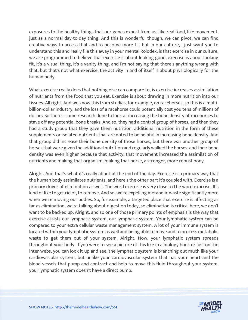exposures to the healthy things that our genes expect from us, like real food, like movement, just as a normal day-to-day thing. And this is wonderful though, we can pivot, we can find creative ways to access that and to become more fit, but in our culture, I just want you to understand this and really file this away in your mental Rolodex, is that exercise in our culture, we are programmed to believe that exercise is about looking good, exercise is about looking fit, it's a visual thing, it's a vanity thing, and I'm not saying that there's anything wrong with that, but that's not what exercise, the activity in and of itself is about physiologically for the human body.

What exercise really does that nothing else can compare to, is exercise increases assimilation of nutrients from the food that you eat. Exercise is about drawing in more nutrition into our tissues. All right. And we know this from studies, for example, on racehorses, so this is a multibillion-dollar industry, and the loss of a racehorse could potentially cost you tens of millions of dollars, so there's some research done to look at increasing the bone density of racehorses to stave off any potential bone breaks. And so, they had a control group of horses, and then they had a study group that they gave them nutrition, additional nutrition in the form of these supplements or isolated nutrients that are noted to be helpful in increasing bone density. And that group did increase their bone density of those horses, but there was another group of horses that were given the additional nutrition and regularly walked the horses, and their bone density was even higher because that activity, that movement increased the assimilation of nutrients and making that organism, making that horse, a stronger, more robust pony.

Alright. And that's what it's really about at the end of the day. Exercise is a primary way that the human body assimilates nutrients, and here's the other part it's coupled with. Exercise is a primary driver of elimination as well. The word exercise is very close to the word exorcise. It's kind of like to get rid of, to remove. And so, we're expelling metabolic waste significantly more when we're moving our bodies. So, for example, a targeted place that exercise is affecting as far as elimination, we're talking about digestion today, so elimination is critical here, we don't want to be backed up. Alright, and so one of those primary points of emphasis is the way that exercise assists our lymphatic system, our lymphatic system. Your lymphatic system can be compared to your extra cellular waste management system. A lot of your immune system is located within your lymphatic system as well and being able to move and to process metabolic waste to get them out of your system. Alright. Now, your lymphatic system spreads throughout your body. If you were to see a picture of this like in a biology book or just on the inter-webs, you can look it up and see, the lymphatic system is branching out much like your cardiovascular system, but unlike your cardiovascular system that has your heart and the blood vessels that pump and contract and help to move this fluid throughout your system, your lymphatic system doesn't have a direct pump.

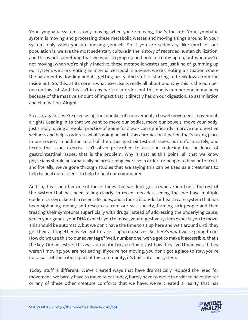Your lymphatic system is only moving when you're moving, that's the rub. Your lymphatic system is moving and processing these metabolic wastes and moving things around in your system, only when you are moving yourself. So if you are sedentary, like much of our population is, we are the most sedentary culture in the history of recorded human civilization, and this is not something that we want to prop up and hold a trophy up on, but when we're not moving, when we're highly inactive, these metabolic wastes are just kind of gumming up our system, we are creating an internal cesspool in a sense, we're creating a situation where the basement is flooding and it's getting nasty. And stuff is starting to breakdown from the inside out. So, this, at its core is what exercise is really all about and why this is the number one on this list. And this isn't in any particular order, but this one is number one in my book because of the massive amount of impact that it directly has on our digestion, so assimilation and elimination. Alright.

So also, again, if we're even using the moniker of a movement, a bowel movement, movement, alright? Leaning in to that we want to move our bodies, move our bowels, move your body, just simply having a regular practice of going for a walk can significantly improve our digestive wellness and help to address what's going on with this chronic constipation that's taking place in our society in addition to all of the other gastrointestinal issues, but unfortunately, and here's the issue, exercise isn't often prescribed to assist in reducing the incidence of gastrointestinal issues, that is the problem, why is that at this point, all that we know physicians should automatically be prescribing exercise in order for people to heal or to treat, and literally, we've gone through studies that are saying this can be used as a treatment to help to heal our citizens, to help to heal our community.

And so, this is another one of those things that we don't got to wait around until the rest of the system that has been failing clearly. In recent decades, seeing that we have multiple epidemics skyrocketed in recent decades, and a four trillion-dollar health care system that has been siphoning money and resources from our sick society, farming sick people and then treating their symptoms superficially with drugs instead of addressing the underlying cause, which your genes, your DNA expects you to move, your digestive system expects you to move. This should be automatic, but we don't have the time to sit up here and wait around until they get their act together, we've got to take it upon ourselves. So, here's what we're going to do. How do we use this to our advantage? Well, number one, we've got to make it accessible, that's the key. Our ancestors, this was automatic because this is just how they lived their lives, if they weren't moving, you are not eating. If you're not moving, you don't got a place to stay, you're not a part of the tribe, a part of the community, it's built into the system.

Today, stuff is different. We've created ways that have dramatically reduced the need for movement, we barely have to move to eat today, barely have to move in order to have shelter [or any of these other creature comforts that we have, we](https://themodelhealthshow.com/podcasts/improve-your-digestion/)'[ve created a reality that has](https://themodelhealthshow.com/podcasts/improve-your-digestion/) 

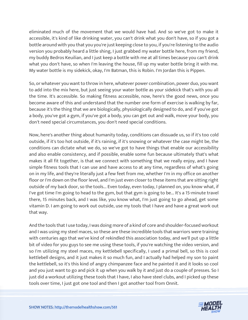eliminated much of the movement that we would have had. And so we've got to make it accessible, it's kind of like drinking water, you can't drink what you don't have, so if you got a bottle around with you that you you're just keeping close to you, if you're listening to the audio version you probably heard a little shing, I just grabbed my water bottle here, from my friend, my buddy Bedros Keuilian, and I just keep a bottle with me at all times because you can't drink what you don't have, so when I'm leaving the house, fill up my water bottle bring it with me. My water bottle is my sidekick, okay, I'm Batman, this is Robin. I'm Jordan this is Pippen.

So, or whatever you want to throw in here, whatever power combination, power duo, you want to add into the mix here, but just seeing your water bottle as your sidekick that's with you all the time. It's accessible. So making fitness accessible, now, here's the good news, once you become aware of this and understand that the number one form of exercise is walking by far, because it's the thing that we are biologically, physiologically designed to do, and if you've got a body, you've got a gym, if you've got a body, you can get out and walk, move your body, you don't need special circumstances, you don't need special conditions.

Now, here's another thing about humanity today, conditions can dissuade us, so if it's too cold outside, if it's too hot outside, if it's raining, if it's snowing or whatever the case might be, the conditions can dictate what we do, so we've got to have things that enable our accessibility and also enable consistency, and if possible, enable some fun because ultimately that's what makes it all fit together, is that we connect with something that we really enjoy, and I have simple fitness tools that I can use and have access to at any time, regardless of what's going on in my life, and they're literally just a few feet from me, whether I'm in my office on another floor or I'm down on the floor level, and I'm just even closer to these items that are sitting right outside of my back door, so the tools... Even today, even today, I planned on, you know what, if I've got time I'm going to head to the gym, but that gym is going to be... It's a 15-minute travel there, 15 minutes back, and I was like, you know what, I'm just going to go ahead, get some vitamin D. I am going to work out outside, use my tools that I have and have a great work out that way.

And the tools that I use today, I was doing more of a kind of core and shoulder-focused workout and I was using my steel maces, so these are these incredible tools that warriors were training with centuries ago that we've kind of rekindled this association today, and we'll put up a little bit of video for you guys to see me using these tools, if you're watching the video version, and so I'm utilizing my steel maces, my kettlebell specifically, I used a primal bell, so this is cool kettlebell designs, and it just makes it so much fun, and I actually had helped my son to paint the kettlebell, so it's this kind of angry chimpanzee face and he painted it and it looks so cool and you just want to go and pick it up when you walk by it and just do a couple of presses. So I just did a workout utilizing these tools that I have, I also have steel clubs, and I picked up these [tools over time, I just got one tool and then I got another tool from Onnit.](https://themodelhealthshow.com/podcasts/improve-your-digestion/)

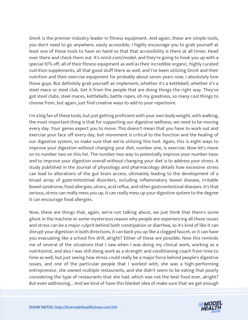Onnit is the premier industry leader in fitness equipment. And again, these are simple tools, you don't need to go anywhere, easily accessible, I highly encourage you to grab yourself at least one of these tools to have on hand so that that accessibility is there at all times. Head over there and check them out. It's onnit.com/model, and they're going to hook you up with a special 10% off, all of their fitness equipment as well as their incredible organic, highly curated nutrition supplements, all that good stuff there as well, and I've been utilizing Onnit and their nutrition and their exercise equipment for probably about seven years now, I absolutely love those guys. But definitely grab yourself an implement, whether it's a kettlebell, whether it's a steel mace or steel club. Get it from the people that are doing things the right way. They've got steel clubs, steel maces, kettlebells, battle ropes, oh my goodness, so many cool things to choose from, but again, just find creative ways to add to your repertoire.

I'm a big fan of these tools, but just getting proficient with your own body weight, with walking, the most important thing is that for supporting our digestive wellness, we need to be moving every day. Your genes expect you to move. This doesn't mean that you have to work out and exercise your face off every day, but movement is critical to the function and the healing of our digestive system, so make sure that we're utilizing this tool. Again, this is eight ways to improve your digestion without changing your diet, number one, is exercise. Now let's move on to number two on this list. The number two way to potentially improve your number twos and to improve your digestion overall without changing your diet is to address your stress. A study published in the Journal of physiology and pharmacology details how excessive stress can lead to alterations of the gut brain access, ultimately leading to the development of a broad array of gastrointestinal disorders, including inflammatory bowel disease, irritable bowel syndrome, food allergies, ulcers, acid reflux, and other gastrointestinal diseases. It's that serious, stress can really mess you up, it can really mess up your digestive system to the degree it can encourage food allergies.

Now, these are things that, again, we're not talking about, we just think that there's some ghost in the machine or some mysterious reason why people are experiencing all these issues and stress can be a major culprit behind both constipation or diarrhea, so it's kind of like it can disrupt your digestion in both directions, it can back you up like a clogged faucet, or it can have you evacuating like a school fire drill, alright? Either of these are possible. Now this reminds me of several of the situations that I saw when I was doing my clinical work, working as a nutritionist, and also I was still doing work as a strength and conditioning coach from time to time as well, but just seeing how stress could really be a major force behind people's digestive issues, and one of the particular people that I worked with, she was a high-performing entrepreneur, she owned multiple restaurants, and she didn't seem to be eating that poorly considering the type of restaurants that she had, which was not the best food ever, alright? [But even addressing... And we kind of have this blanket idea of make sure that we get enough](https://themodelhealthshow.com/podcasts/improve-your-digestion/) 

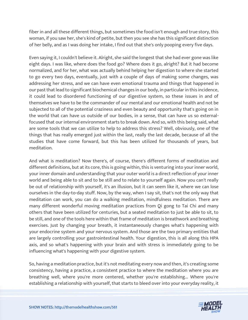fiber in and all these different things, but sometimes the food isn't enough and true story, this woman, if you saw her, she's kind of petite, but then you see she has this significant distinction of her belly, and as I was doing her intake, I find out that she's only pooping every five days.

Even saying it, I couldn't believe it. Alright, she said the longest that she had ever gone was like eight days. I was like, where does the food go? Where does it go, alright? But it had become normalized, and for her, what was actually behind helping her digestion to where she started to go every two days, eventually, just with a couple of days of making some changes, was addressing her stress, and we can have even emotional trauma and things that happened in our past that lead to significant biochemical changes in our body, in particular in this incidence, it could lead to disordered functioning of our digestive system, so these issues in and of themselves we have to be the commander of our mental and our emotional health and not be subjected to all of the potential craziness and even beauty and opportunity that's going on in the world that can have us outside of our bodies, in a sense, that can have us so externalfocused that our internal environment starts to break down. And so, with this being said, what are some tools that we can utilize to help to address this stress? Well, obviously, one of the things that has really emerged just within the last, really the last decade, because of all the studies that have come forward, but this has been utilized for thousands of years, but meditation.

And what is meditation? Now there's, of course, there's different forms of meditation and different definitions, but at its core, this is going within, this is venturing into your inner world, your inner domain and understanding that your outer world is a direct reflection of your inner world and being able to sit and to be still and to relate to yourself again. Now you can't really be out of relationship with yourself, it's an illusion, but it can seem like it, where we can lose ourselves in the day-to-day stuff. Now, by the way, when I say sit, that's not the only way that meditation can work, you can do a walking meditation, mindfulness meditation. There are many different wonderful moving meditation practices from Qi gong to Tai Chi and many others that have been utilized for centuries, but a seated meditation to just be able to sit, to be still, and one of the tools here within that frame of meditation is breathwork and breathing exercises. Just by changing your breath, it instantaneously changes what's happening with your endocrine system and your nervous system. And those are the two primary entities that are largely controlling your gastrointestinal health. Your digestion, this is all along this HPA axis, and so what's happening with your brain and with stress is immediately going to be influencing what's happening with your digestive system.

So, having a meditation practice, but it's not meditating every now and then, it's creating some consistency, having a practice, a consistent practice to where the meditation where you are breathing well, where you're more centered, whether you're establishing... Where you're [establishing a relationship with yourself, that starts to bleed over into your everyday reality, it](https://themodelhealthshow.com/podcasts/improve-your-digestion/)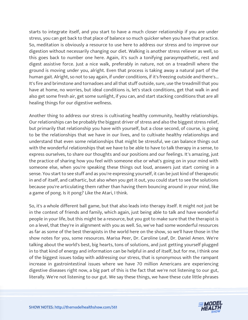starts to integrate itself, and you start to have a much closer relationship if you are under stress, you can get back to that place of balance so much quicker when you have that practice. So, meditation is obviously a resource to use here to address our stress and to improve our digestion without necessarily changing our diet. Walking is another stress reliever as well, so this goes back to number one here. Again, it's such a tonifying parasympathetic, rest and digest assistive force. Just a nice walk, preferably in nature, not on a treadmill where the ground is moving under you, alright. Even that process is taking away a natural part of the human gait. Alright, so not to say again, if under conditions, if it's freezing outside and there's... It's fire and brimstone and tornadoes and all that stuff outside, sure, use the treadmill that you have at home, no worries, but ideal conditions is, let's stack conditions, get that walk in and also get some fresh air, get some sunlight, if you can, and start stacking conditions that are all healing things for our digestive wellness.

Another thing to address our stress is cultivating healthy community, healthy relationships. Our relationships can be probably the biggest driver of stress and also the biggest stress relief, but primarily that relationship you have with yourself, but a close second, of course, is going to be the relationships that we have in our lives, and to cultivate healthy relationships and understand that even some relationships that might be stressful, we can balance things out with the wonderful relationships that we have to be able to have to talk therapy in a sense, to express ourselves, to share our thoughts and our positions and our feelings. It's amazing, just the practice of sharing how you feel with someone else or what's going on in your mind with someone else, when you're speaking these things out loud, answers just start coming in a sense. You start to see stuff and as you're expressing yourself, it can be just kind of therapeutic in and of itself, and cathartic, but also when you get it out, you could start to see the solutions because you're articulating them rather than having them bouncing around in your mind, like a game of pong. Is it pong? Like the Atari, I think.

So, it's a whole different ball game, but that also leads into therapy itself. It might not just be in the context of friends and family, which again, just being able to talk and have wonderful people in your life, but this might be a resource, but you got to make sure that the therapist is on a level, that they're in alignment with you as well. So, we've had some wonderful resources as far as some of the best therapists in the world here on the show, so we'll have those in the show notes for you, some resources. Marisa Peer, Dr. Caroline Leaf, Dr. Daniel Amen. We're talking about the world's best, big hearts, tons of solutions, and just getting yourself plugged in to that kind of energy and information can be helpful in and of itself, but for me, I think one of the biggest issues today with addressing our stress, that is synonymous with the rampant increase in gastrointestinal issues where we have 70 million Americans are experiencing digestive diseases right now, a big part of this is the fact that we're not listening to our gut, literally. We're not listening to our gut. We say these things, we have these cute little phrases

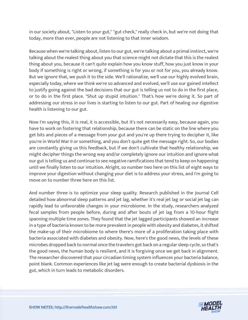in our society about, "Listen to your gut," "gut check," really check in, but we're not doing that today, more than ever, people are not listening to that inner wisdom.

Because when we're talking about, listen to our gut, we're talking about a primal instinct, we're talking about the realest thing about you that science might not dictate that this is the realest thing about you, because it can't quite explain how you know stuff, how you just know in your body if something is right or wrong, if something is for you or not for you, you already know. But we ignore that, we push it to the side. We'll rationalize, we'll use our highly evolved brain, especially today, where we think we're so advanced and evolved, we'll use our gained intellect to justify going against the bad decisions that our gut is telling us not to do in the first place, or to do in the first place. "Shut up stupid intuition." That's how we're doing it. So part of addressing our stress in our lives is starting to listen to our gut. Part of healing our digestive health is listening to our gut.

Now I'm saying this, it is real, it is accessible, but it's not necessarily easy, because again, you have to work on fostering that relationship, because there can be static on the line where you get bits and pieces of a message from your gut and you're up there trying to decipher it, like you're in World War II or something, and you don't quite get the message right. So, our bodies are constantly giving us this feedback, but if we don't cultivate that healthy relationship, we might decipher things the wrong way and/or completely ignore our intuition and ignore what our gut is telling us and continue to see negative ramifications that tend to keep on happening until we finally listen to our intuition. Alright, so number two here on this list of eight ways to improve your digestion without changing your diet is to address your stress, and I'm going to move on to number three here on this list.

And number three is to optimize your sleep quality. Research published in the Journal Cell detailed how abnormal sleep patterns and jet lag, whether it's real jet lag or social jet lag can rapidly lead to unfavorable changes in your microbiome. In the study, researchers analyzed fecal samples from people before, during and after bouts of jet lag from a 10-hour flight spanning multiple time zones. They found that the jet lagged participants showed an increase in a type of bacteria known to be more prevalent in people with obesity and diabetes, it shifted the make-up of their microbiome to where there's more of a proliferation taking place with bacteria associated with diabetes and obesity. Now, here's the good news, the levels of these microbes dropped back to normal once the travelers got back on a regular sleep cycle, so that's the good news, the human body is resilient, and it is forgiving once we get back in alignment. The researcher discovered that your circadian timing system influences your bacteria balance, point blank. Common experiences like jet lag were enough to create bacterial dysbiosis in the gut, which in turn leads to metabolic disorders.

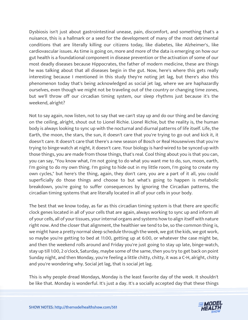Dysbiosis isn't just about gastrointestinal unease, pain, discomfort, and something that's a nuisance, this is a hallmark or a seed for the development of many of the most detrimental conditions that are literally killing our citizens today, like diabetes, like Alzheimer's, like cardiovascular issues. As time is going on, more and more of the data is emerging on how our gut health is a foundational component in disease prevention or the activation of some of our most deadly diseases because Hippocrates, the father of modern medicine, these are things he was talking about that all diseases begin in the gut. Now, here's where this gets really interesting because I mentioned in this study they're noting jet lag, but there's also this phenomenon today that's being acknowledged as social jet lag, where we are haphazardly ourselves, even though we might not be traveling out of the country or changing time zones, but we'll throw off our circadian timing system, our sleep rhythms just because it's the weekend, alright?

Not to say again, now listen, not to say that we can't stay up and do our thing and be dancing on the ceiling, alright, shout out to Lionel Richie. Lionel Richie, but the reality is, the human body is always looking to sync up with the nocturnal and diurnal patterns of life itself. Life, the Earth, the moon, the stars, the sun, it doesn't care that you're trying to go out and kick it, it doesn't care. It doesn't care that there's a new season of Bosch or Real Housewives that you're trying to binge-watch at night, it doesn't care. Your biology is hard-wired to be synced up with those things, you are made from those things, that's real. Cool thing about you is that you can, you can say, "You know what, I'm not going to do what you want me to do, sun, moon, earth, I'm going to do my own thing. I'm going to hide out in my little room, I'm going to create my own cycles," but here's the thing, again, they don't care, you are a part of it all, you could superficially do those things and choose to but what's going to happen is metabolic breakdown, you're going to suffer consequences by ignoring the Circadian patterns, the circadian timing systems that are literally located in all of your cells in your body.

The best that we know today, as far as this circadian timing system is that there are specific clock genes located in all of your cells that are again, always working to sync up and inform all of your cells, all of your tissues, your internal organs and systems how to align itself with nature right now. And the closer that alignment, the healthier we tend to be, so the common thing is, we might have a pretty normal sleep schedule through the week, we got the kids, we got work, so maybe you're getting to bed at 11:00, getting up at 6:00, or whatever the case might be, and then the weekend rolls around and Friday you're just going to stay up late, binge-watch, stay up till 1:00, 2 o'clock, Saturday, maybe some of the same, then you try to get back on point Sunday night, and then Monday, you're feeling a little chitty, chitty, it was a C-H, alright, chitty and you're wondering why. Social jet lag, that is social jet lag.

This is why people dread Mondays, Monday is the least favorite day of the week. It shouldn't [be like that. Monday is wonderful. It](https://themodelhealthshow.com/podcasts/improve-your-digestion/)'[s just a day. It](https://themodelhealthshow.com/podcasts/improve-your-digestion/)'[s a socially accepted day that these things](https://themodelhealthshow.com/podcasts/improve-your-digestion/) 

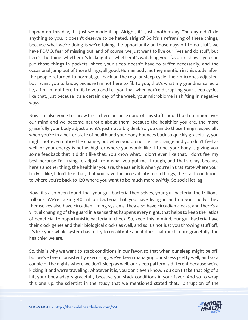happen on this day, it's just we made it up. Alright, it's just another day. The day didn't do anything to you. It doesn't deserve to be hated, alright? So it's a reframing of these things, because what we're doing is we're taking the opportunity on those days off to do stuff, we have FOMO, fear of missing out, and of course, we just want to live our lives and do stuff, but here's the thing, whether it's kicking it or whether it's watching your favorite shows, you can put those things in pockets where your sleep doesn't have to suffer necessarily, and the occasional jump out of those things, all good. Human body, as they mention in this study, after the people returned to normal, got back on the regular sleep cycle, their microbes adjusted, but I want you to know, because I'm not here to fib to you, that's what my grandma called a lie, a fib. I'm not here to fib to you and tell you that when you're disrupting your sleep cycles like that, just because it's a certain day of the week, your microbiome is shifting in negative ways.

Now, I'm also going to throw this in here because none of this stuff should hold dominion over our mind and we become neurotic about them, because the healthier you are, the more gracefully your body adjust and it's just not a big deal. So you can do those things, especially when you're in a better state of health and your body bounces back so quickly gracefully, you might not even notice the change, but when you do notice the change and you don't feel as well, or your energy is not as high or where you would like it to be, your body is giving you some feedback that it didn't like that. You know what, I didn't even like that. I don't feel my best because I'm trying to adjust from what you put me through, and that's okay, because here's another thing, the healthier you are, the easier it is when you're in that state where your body is like, I don't like that, that you have the accessibility to do things, the stack conditions to where you're back to 120 where you want to be much more swiftly. So social jet lag.

Now, it's also been found that your gut bacteria themselves, your gut bacteria, the trillions, trillions. We're talking 40 trillion bacteria that you have living in and on your body, they themselves also have circadian timing systems, they also have circadian clocks, and there's a virtual changing of the guard in a sense that happens every night, that helps to keep the ratios of beneficial to opportunistic bacteria in check. So, keep this in mind, our gut bacteria have their clock genes and their biological clocks as well, and so it's not just you throwing stuff off, it's like your whole system has to try to recalibrate and it does that much more gracefully, the healthier we are.

So, this is why we want to stack conditions in our favor, so that when our sleep might be off, but we've been consistently exercising, we've been managing our stress pretty well, and so a couple of the nights where we don't sleep as well, our sleep pattern is different because we're kicking it and we're traveling, whatever it is, you don't even know. You don't take that big of a hit, your body adapts gracefully because you stack conditions in your favor. And so to wrap [this one up, the scientist in the study that we mentioned stated](https://themodelhealthshow.com/podcasts/improve-your-digestion/) that, "Disruption of the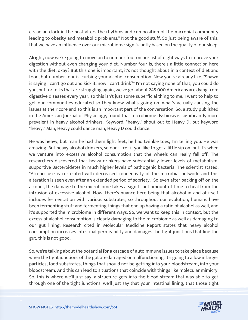circadian clock in the host alters the rhythms and composition of the microbial community leading to obesity and metabolic problems." Not the good stuff. So just being aware of this, that we have an influence over our microbiome significantly based on the quality of our sleep.

Alright, now we're going to move on to number four on our list of eight ways to improve your digestion without even changing your diet. Number four is, there's a little connection here with the diet, okay? But this one is important, it's not thought about in a context of diet and food, but number four is, curbing your alcohol consumption. Now you're already like, "Shawn is saying I can't go out and kick it, now I can't drink?" I'm not saying none of that, you could do you, but for folks that are struggling again, we've got about 245,000 Americans are dying from digestive diseases every year, so this isn't just some superficial thing to me, I want to help to get our communities educated so they know what's going on, what's actually causing the issues at their core and so this is an important part of the conversation. So, a study published in the American Journal of Physiology, found that microbiome dysbiosis is significantly more prevalent in heavy alcohol drinkers. Keyword, "heavy," shout out to Heavy D, but keyword "heavy." Man, Heavy could dance man, Heavy D could dance.

He was heavy, but man he had them light feet, he had twinkle toes, I'm telling you. He was amazing. But heavy alcohol drinkers, so don't fret if you like to get a little sip on, but it's when we venture into excessive alcohol consumption that the wheels can really fall off. The researchers discovered that heavy drinkers have substantially lower levels of metabolism, supportive Bacteroidetes in much higher levels of pathogenic bacteria. The scientist stated, "Alcohol use is correlated with decreased connectivity of the microbial network, and this alteration is seen even after an extended period of sobriety." So even after backing off on the alcohol, the damage to the microbiome takes a significant amount of time to heal from the intrusion of excessive alcohol. Now, there's nuance here being that alcohol in and of itself includes fermentation with various substrates, so throughout our evolution, humans have been fermenting stuff and fermenting things that end up having a ratio of alcohol as well, and it's supported the microbiome in different ways. So, we want to keep this in context, but the excess of alcohol consumption is clearly damaging to the microbiome as well as damaging to our gut lining. Research cited in Molecular Medicine Report states that heavy alcohol consumption increases intestinal permeability and damages the tight junctions that line the gut, this is not good.

So, we're talking about the potential for a cascade of autoimmune issues to take place because when the tight junctions of the gut are damaged or malfunctioning. It's going to allow in larger particles, food substrates, things that should not be getting into your bloodstream, into your bloodstream. And this can lead to situations that coincide with things like molecular mimicry. So, this is where we'll just say, a structure gets into the blood stream that was able to get [through one of the tight junctions, we](https://themodelhealthshow.com/podcasts/improve-your-digestion/)'[ll just say that](https://themodelhealthshow.com/podcasts/improve-your-digestion/) your intestinal lining, that those tight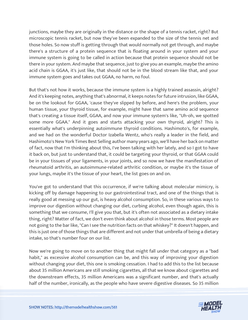junctions, maybe they are originally in the distance or the shape of a tennis racket, right? But microscopic tennis racket, but now they've been expanded to the size of the tennis net and those holes. So now stuff is getting through that would normally not get through, and maybe there's a structure of a protein sequence that is floating around in your system and your immune system is going to be called in action because that protein sequence should not be there in your system. And maybe that sequence, just to give you an example, maybe the amino acid chain is GGAA, it's just like, that should not be in the blood stream like that, and your immune system goes and takes out GGAA, no harm, no foul.

But that's not how it works, because the immune system is a highly trained assassin, alright? And it's keeping notes, anything that's abnormal, it keeps notes for future intrusion, like GGAA, be on the lookout for GGAA, 'cause they've slipped by before, and here's the problem, your human tissue, your thyroid tissue, for example, might have that same amino acid sequence that's creating a tissue itself, GGAA, and now your immune system's like, "Uh-oh, we spotted some more GGAA." And it goes and starts attacking your own thyroid, alright? This is essentially what's underpinning autoimmune thyroid conditions. Hashimoto's, for example, and we had on the wonderful Doctor Izabella Wentz, who's really a leader in the field, and Hashimoto's New York Times Best Selling author many years ago, we'll have her back on matter of fact, now that I'm thinking about this, I've been talking with her lately, and so I got to have it back on, but just to understand that, it could be targeting your thyroid, or that GGAA could be in your tissues of your ligaments, in your joints, and so now we have the manifestation of rheumatoid arthritis, an autoimmune-related arthritic condition, or maybe it's the tissue of your lungs, maybe it's the tissue of your heart, the list goes on and on.

You've got to understand that this occurrence, if we're talking about molecular mimicry, is kicking off by damage happening to our gastrointestinal tract, and one of the things that is really good at messing up our gut, is heavy alcohol consumption. So, in these various ways to improve our digestion without changing our diet, curbing alcohol, even though again, this is something that we consume, I'll give you that, but it's often not associated as a dietary intake thing, right? Matter of fact, we don't even think about alcohol in those terms. Most people are not going to the bar like, "Can I see the nutrition facts on that whiskey?" It doesn't happen, and this is just one of those things that are different and not under that umbrella of being a dietary intake, so that's number four on our list.

Now we're going to move on to another thing that might fall under that category as a "bad habit," as excessive alcohol consumption can be, and this way of improving your digestion without changing your diet, this one is smoking cessation. I had to add this to the list because about 35 million Americans are still smoking cigarettes, all that we know about cigarettes and the downstream effects, 35 million Americans was a significant number, and that's actually half of the number, ironically, [as the people who have severe digestive diseases. So 35 million](https://themodelhealthshow.com/podcasts/improve-your-digestion/)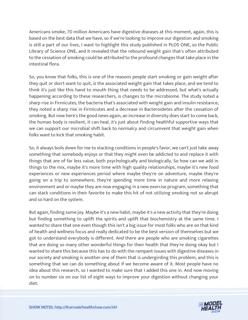Americans smoke, 70 million Americans have digestive diseases at this moment, again, this is based on the best data that we have, so if we're looking to improve our digestion and smoking is still a part of our lives, I want to highlight this study published in PLOS ONE, so the Public Library of Science ONE, and it revealed that the rebound weight gain that's often attributed to the cessation of smoking could be attributed to the profound changes that take place in the intestinal flora.

So, you know that folks, this is one of the reasons people start smoking or gain weight after they quit or don't want to quit, is the associated weight gain that takes place, and we tend to think it's just like this hand to mouth thing that needs to be addressed, but what's actually happening according to these researchers, is changes to the microbiome. The study noted a sharp rise in Firmicutes, the bacteria that's associated with weight gain and insulin resistance, they noted a sharp rise in Firmicutes and a decrease in Bacteroidetes after the cessation of smoking. But now here's the good news again, an increase in diversity does start to come back, the human body is resilient, it can heal, it's just about finding healthful supportive ways that we can support our microbial shift back to normalcy and circumvent that weight gain when folks want to kick that smoking habit.

So, it always boils down for me to stacking conditions in people's favor, we can't just take away something that somebody enjoys or that they might even be addicted to and replace it with things that are of far less value, both psychologically and biologically. So how can we add in things to the mix, maybe it's more time with high quality relationships, maybe it's new food experiences or new experiences period where maybe they're on adventure, maybe they're going on a trip to somewhere, they're spending more time in nature and more relaxing environment and or maybe they are now engaging in a new exercise program, something that can stack conditions in their favorite to make this hit of not utilizing smoking not so abrupt and so hard on the system.

But again, finding some joy. Maybe it's a new habit, maybe it's a new activity that they're doing but finding something to uplift the spirits and uplift that biochemistry at the same time. I wanted to share that one even though this isn't a big issue for most folks who are on that kind of health and wellness focus and really dedicated to be the best version of themselves but we got to understand everybody is different. And there are people who are smoking cigarettes that are doing so many other wonderful things for their health that they're doing okay but I wanted to share this because this has to do with the rampant issues with digestive diseases in our society and smoking is another one of them that is undergirding this problem, and this is something that we can do something about if we become aware of it. Most people have no idea about this research, so I wanted to make sure that I added this one in. And now moving on to number six on our list of eight ways to improve your digestion without changing your [diet.](https://themodelhealthshow.com/podcasts/improve-your-digestion/)

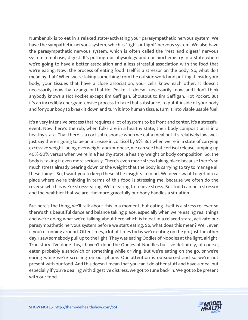Number six is to eat in a relaxed state/activating your parasympathetic nervous system. We have the sympathetic nervous system, which is "fight or flight" nervous system. We also have the parasympathetic nervous system, which is often called the "rest and digest" nervous system, emphasis, digest. It's putting our physiology and our biochemistry in a state where we're going to have a better association and a less stressful association with the food that we're eating. Now, the process of eating food itself is a stressor on the body. So, what do I mean by that? When we're taking something from the outside world and putting it inside your body, your tissues that have a close association, your cells know each other. It doesn't necessarily know that orange or that Hot Pocket. It doesn't necessarily know, and I don't think anybody knows a Hot Pocket except Jim Gaffigan. Shoutout to Jim Gaffigan. Hot Pocket. But it's an incredibly energy-intensive process to take that substance, to put it inside of your body and for your body to break it down and turn it into human tissue, turn it into viable usable fuel.

It's a very intensive process that requires a lot of systems to be front and center, it's a stressful event. Now, here's the rub, when folks are in a healthy state, their body composition is in a healthy state. That there is a cortisol response when we eat a meal but it's relatively low, we'll just say there's going to be an increase in cortisol by 5%. But when we're in a state of carrying excessive weight, being overweight and/or obese, we can see that cortisol release jumping up 40%-50% versus when we're in a healthy state, a healthy weight or body composition. So, the body is taking it even more seriously. There's even more stress taking place because there's so much stress already bearing down or the weight that the body is carrying to try to manage all these things. So, I want you to keep these little insights in mind. We never want to get into a place where we're thinking in terms of this food is stressing me, because we often do the reverse which is we're stress-eating. We're eating to relieve stress. But food can be a stressor and the healthier that we are, the more gracefully our body handles a situation.

But here's the thing, we'll talk about this in a moment, but eating itself is a stress reliever so there's this beautiful dance and balance taking place, especially when we're eating real things and we're doing what we're talking about here which is to eat in a relaxed state, activate our parasympathetic nervous system before we start eating. So, what does this mean? Well, even if you're running around. Oftentimes, a lot of times today we're eating on the go. Just the other day, I saw somebody pull up to the light. They was eating Oodles of Noodles at the light, alright. True story. I've done this, I haven't done the Oodles of Noodles but I've definitely, of course, eaten probably a sandwich or something while driving. But we're eating on the go, or we're earing while we're scrolling on our phone. Our attention is outsourced and so we're not present with our food. And this doesn't mean that you can't do other stuff and have a meal but especially if you're dealing with digestive distress, we got to tune back in. We got to be present with our food.

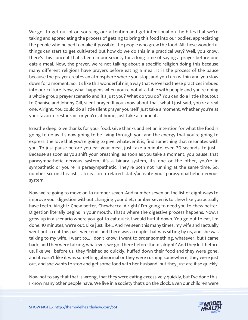We got to get out of outsourcing our attention and get intentional on the bites that we're taking and appreciating the process of getting to bring this food into our bodies, appreciating the people who helped to make it possible, the people who grew the food. All these wonderful things can start to get cultivated but how do we do this in a practical way? Well, you know, there's this concept that's been in our society for a long time of saying a prayer before one eats a meal. Now, the prayer, we're not talking about a specific religion doing this because many different religions have prayers before eating a meal. It is the process of the pause because the prayer creates an atmosphere where you stop, and you turn within and you slow down for a moment. So, it's like this wonderful ninja way that we've had these practices imbued into our culture. Now, what happens when you're not at a table with people and you're doing a whole group prayer scenario and it's just you? What do you do? You can do a little shoutout to Chanise and Johnny Gill, silent prayer. If you know about that, what I just said, you're a real one. Alright. You could do a little silent prayer yourself. Just take a moment. Whether you're at your favorite restaurant or you're at home, just take a moment.

Breathe deep. Give thanks for your food. Give thanks and set an intention for what the food is going to do as it's now going to be living through you, and the energy that you're going to express, the love that you're going to give, whatever it is, find something that resonates with you. To just pause before you eat your meal, just take a minute, even 30 seconds, to just... Because as soon as you shift your breathing, as soon as you take a moment, you pause, that parasympathetic nervous system, it's a binary system, it's one or the other, you're in sympathetic or you're in parasympathetic. They're both not running at the same time. So, number six on this list is to eat in a relaxed state/activate your parasympathetic nervous system.

Now we're going to move on to number seven. And number seven on the list of eight ways to improve your digestion without changing your diet, number seven is to chew like you actually have teeth. Alright? Chew better, Chewbacca. Alright? I'm going to need you to chew better. Digestion literally begins in your mouth. That's where the digestive process happens. Now, I grew up in a scenario where you got to eat quick. I would huff it down. You go out to eat, I'm done. 10 minutes, we're out. Like just like... And I've seen this many times, my wife and I actually went out to eat this past weekend, and there was a couple that was sitting by us, and she was talking to my wife, I went to... I don't know, I went to order something, whatever, but I came back, and they were talking, whatever, we got there before them, alright? And they left before us, like well before us, they finished so quickly, huffed down their food and they were gone, and it wasn't like it was something abnormal or they were rushing somewhere, they were just out, and she wants to stop and get some food with her husband, but they just ate it so quickly.

Now not to say that that is wrong, that they were eating excessively quickly, but I've done this, [I know many other people have. We live in a society that](https://themodelhealthshow.com/podcasts/improve-your-digestion/)'[s on the clock. Even our children were](https://themodelhealthshow.com/podcasts/improve-your-digestion/) 

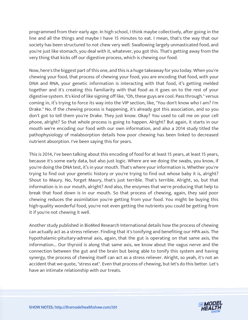programmed from their early age. In high school, I think maybe collectively, after going in the line and all the things and maybe I have 15 minutes to eat. I mean, that's the way that our society has been structured to not chew very well. Swallowing largely unmasticated food, and you're just like stomach, you deal with it, whatever, you got this. That's getting away from the very thing that kicks off our digestive process, which is chewing our food.

Now, here's the biggest part of this one, and this is a huge takeaway for you today. When you're chewing your food, that process of chewing your food, you are encoding that food, with your DNA and RNA, your genetic information is interacting with that food, it's getting melded together and it's creating this familiarity with that food as it goes on to the rest of your digestive system. It's kind of like signing off like, "Oh, these guys are cool. Pass through." versus coming in, it's trying to force its way into the VIP section, like, "You don't know who I am? I'm Drake." No. If the chewing process is happening, it's already got this association, and so you don't got to tell them you're Drake. They just know. Okay? You used to call me on your cell phone, alright? So that whole process is going to happen. Alright? But again, it starts in our mouth we're encoding our food with our own information, and also a 2014 study titled the pathophysiology of malabsorption details how poor chewing has been linked to decreased nutrient absorption. I've been saying this for years.

This is 2014, I've been talking about this encoding of food for at least 15 years, at least 15 years, because it's some early data, but also just logic. Where are we doing the swabs, you know, if you're doing the DNA test, it's in your mouth. That's where your information is. Whether you're trying to find out your genetic history or you're trying to find out whose baby it is, alright? Shout to Maury. No, forget Maury, that's just terrible. That's terrible. Alright, so, but that information is in our mouth, alright? And also, the enzymes that we're producing that help to break that food down is in our mouth. So that process of chewing, again, they said poor chewing reduces the assimilation you're getting from your food. You might be buying this high-quality wonderful food, you're not even getting the nutrients you could be getting from it if you're not chewing it well.

Another study published in BioMed Research International details how the process of chewing can actually act as a stress reliever. Finding that it's tonifying and benefiting our HPA axis. The hypothalamic-pituitary-adrenal axis, again, that the gut is operating on that same axis, the information... Our thyroid is along that same axis, we know about the vagus nerve and the connection between the gut and the brain but being able to tonify this system and having synergy, the process of chewing itself can act as a stress reliever. Alright, so yeah, it's not an accident that we quote, "stress eat". Even that process of chewing, but let's do this better. Let's have an intimate relationship with our treats.

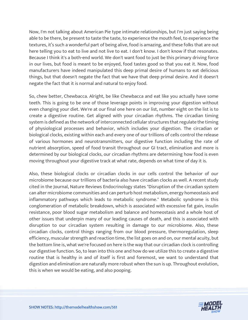Now, I'm not talking about American Pie type intimate relationships, but I'm just saying being able to be there, be present to taste the taste, to experience the mouth feel, to experience the textures, it's such a wonderful part of being alive, food is amazing, and these folks that are out here telling you to eat to live and not live to eat. I don't know. I don't know if that resonates. Because I think it's a both-end world. We don't want food to just be this primary driving force in our lives, but food is meant to be enjoyed, food tastes good so that you eat it. Now, food manufacturers have indeed manipulated this deep primal desire of humans to eat delicious things, but that doesn't negate the fact that we have that deep primal desire. And it doesn't negate the fact that it is normal and natural to enjoy food.

So, chew better, Chewbacca. Alright, be like Chewbacca and eat like you actually have some teeth. This is going to be one of those leverage points in improving your digestion without even changing your diet. We're at our final one here on our list, number eight on the list is to create a digestive routine. Get aligned with your circadian rhythms. The circadian timing system is defined as the network of interconnected cellular structures that regulate the timing of physiological processes and behavior, which includes your digestion. The circadian or biological clocks, existing within each and every one of our trillions of cells control the release of various hormones and neurotransmitters, our digestive function including the rate of nutrient absorption, speed of food transit throughout our GI tract, elimination and more is determined by our biological clocks, our circadian rhythms are determining how food is even moving throughout your digestive track at what rate, depends on what time of day it is.

Also, these biological clocks or circadian clocks in our cells control the behavior of our microbiome because our trillions of bacteria also have circadian clocks as well. A recent study cited in the Journal, Nature Reviews Endocrinology states "Disruption of the circadian system can alter microbiome communities and can perturb host metabolism, energy homeostasis and inflammatory pathways which leads to metabolic syndrome." Metabolic syndrome is this conglomeration of metabolic breakdown, which is associated with excessive fat gain, insulin resistance, poor blood sugar metabolism and balance and homeostasis and a whole host of other issues that underpin many of our leading causes of death, and this is associated with disruption to our circadian system resulting in damage to our microbiome. Also, these circadian clocks, control things ranging from our blood pressure, thermoregulation, sleep efficiency, muscular strength and reaction time, the list goes on and on, our mental acuity, but the bottom line is, what we're focused on here is the way that our circadian clock is controlling our digestive function. So, to lean into this one and how do we utilize this to create a digestive routine that is healthy in and of itself is first and foremost, we want to understand that digestion and elimination are naturally more robust when the sun is up. Throughout evolution, this is when we would be eating, and also pooping.

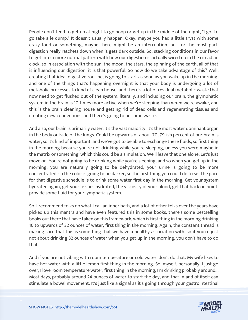People don't tend to get up at night to go poop or get up in the middle of the night, "I got to go take a le dump." It doesn't usually happen. Okay, maybe you had a little tryst with some crazy food or something, maybe there might be an interruption, but for the most part, digestion really ratchets down when it gets dark outside. So, stacking conditions in our favor to get into a more normal pattern with how our digestion is actually wired up in the circadian clock, so in association with the sun, the moon, the stars, the spinning of the earth, all of that is influencing our digestion, it is that powerful. So how do we take advantage of this? Well, creating that ideal digestive routine, is going to start as soon as you wake up in the morning, and one of the things that's happening overnight is that your body is undergoing a lot of metabolic processes to kind of clean house, and there's a lot of residual metabolic waste that now need to get flushed out of the system, literally, and including our brain, the glymphatic system in the brain is 10 times more active when we're sleeping than when we're awake, and this is the brain cleaning house and getting rid of dead cells and regenerating tissues and creating new connections, and there's going to be some waste.

And also, our brain is primarily water, it's the vast majority. It's the most water dominant organ in the body outside of the lungs. Could be upwards of about 70, 79-ish percent of our brain is water, so it's kind of important, and we've got to be able to exchange these fluids, so first thing in the morning because you're not drinking while you're sleeping, unless you were maybe in the matrix or something, which this could be a simulation. We'll leave that one alone. Let's just move on. You're not going to be drinking while you're sleeping, and so when you get up in the morning, you are naturally going to be dehydrated, your urine is going to be more concentrated, so the color is going to be darker, so the first thing you could do to set the pace for that digestive schedule is to drink some water first day in the morning. Get your system hydrated again, get your tissues hydrated, the viscosity of your blood, get that back on point, provide some fluid for your lymphatic system.

So, I recommend folks do what I call an inner bath, and a lot of other folks over the years have picked up this mantra and have even featured this in some books, there's some bestselling books out there that have taken on this framework, which is first thing in the morning drinking 16 to upwards of 32 ounces of water, first thing in the morning. Again, the constant thread is making sure that this is something that we have a healthy association with, so if you're just not about drinking 32 ounces of water when you get up in the morning, you don't have to do that.

And if you are not vibing with room temperature or cold water, don't do that. My wife likes to have hot water with a little lemon first thing in the morning. So, myself, personally, I just go over, I love room temperature water, first thing in the morning, I'm drinking probably around... Most days, probably around 24 ounces of water to start the day, and that in and of itself can [stimulate a bowel movement. It](https://themodelhealthshow.com/podcasts/improve-your-digestion/)'[s just like a signal as it](https://themodelhealthshow.com/podcasts/improve-your-digestion/)'[s going through your gastrointestinal](https://themodelhealthshow.com/podcasts/improve-your-digestion/)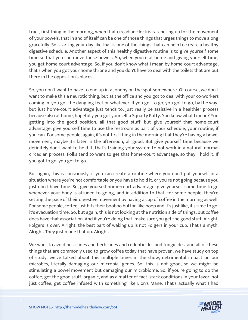tract, first thing in the morning, when that circadian clock is ratcheting up for the movement of your bowels, that in and of itself can be one of those things that urges things to move along gracefully. So, starting your day like that is one of the things that can help to create a healthy digestive schedule. Another aspect of this healthy digestive routine is to give yourself some time so that you can move those bowels. So, when you're at home and giving yourself time, you get home-court advantage. So, if you don't know what I mean by home-court advantage, that's when you got your home throne and you don't have to deal with the toilets that are out there in the opposition's places.

So, you don't want to have to end up in a Johnny on the spot somewhere. Of course, we don't want to make this a neurotic thing, but at the office and you got to deal with your co-workers coming in, you got the dangling feet or whatever. If you got to go, you got to go, by the way, but just home-court advantage just tends to, just really be assistive in a healthier process because also at home, hopefully you got yourself a Squatty Potty. You know what I mean? You getting into the good position, all that good stuff, but give yourself that home-court advantage, give yourself time to use the restroom as part of your schedule, your routine, if you can. For some people, again, it's not first thing in the morning that they're having a bowel movement, maybe it's later in the afternoon, all good. But give yourself time because we definitely don't want to hold it, that's training your system to not work in a natural, normal circadian process. Folks tend to want to get that home-court advantage, so they'll hold it. If you got to go, you got to go.

But again, this is consciously, if you can create a routine where you don't put yourself in a situation where you're not comfortable or you have to hold it, or you're not going because you just don't have time. So, give yourself home-court advantage, give yourself some time to go whenever your body is attuned to going, and in addition to that, for some people, they're setting the pace of their digestive movement by having a cup of coffee in the morning as well. For some people, coffee just hits their booboo button like boop and it's just like, it's time to go, it's evacuation time. So, but again, this is not looking at the nutrition side of things, but coffee does have that association. And if you're doing that, make sure you get the good stuff. Alright, Folgers is over. Alright, the best part of waking up is not Folgers in your cup. That's a myth. Alright. They just made that up. Alright.

We want to avoid pesticides and herbicides and rodenticides and fungicides, and all of these things that are commonly used to grow coffee today that have proven, we have study on top of study, we've talked about this multiple times in the show, detrimental impact on our microbes, literally damaging our microbial genes. So, this is not good, so we might be stimulating a bowel movement but damaging our microbiome. So, if you're going to do the coffee, get the good stuff, organic, and as a matter of fact, stack conditions in your favor, not [just coffee, get coffee infused with something like Lion](https://themodelhealthshow.com/podcasts/improve-your-digestion/)'[s Mane. That](https://themodelhealthshow.com/podcasts/improve-your-digestion/)'[s actually what I had](https://themodelhealthshow.com/podcasts/improve-your-digestion/) 

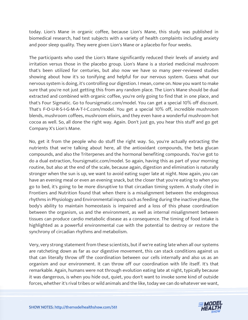today. Lion's Mane in organic coffee, because Lion's Mane, this study was published in biomedical research, had test subjects with a variety of health complaints including anxiety and poor sleep quality. They were given Lion's Mane or a placebo for four weeks.

The participants who used the Lion's Mane significantly reduced their levels of anxiety and irritation versus those in the placebo group. Lion's Mane is a storied medicinal mushroom that's been utilized for centuries, but also now we have so many peer-reviewed studies showing about how it's so tonifying and helpful for our nervous system. Guess what our nervous system is doing, it's controlling our digestion. I mean, come on. Now you want to make sure that you're not just getting this from any random place. The Lion's Mane should be dual extracted and combined with organic coffee, you're only going to find that in one place, and that's Four Sigmatic. Go to foursigmatic.com/model. You can get a special 10% off discount. That's F-O-U-R-S-I-G-M-A-T-I-C.com/model. You get a special 10% off, incredible mushroom blends, mushroom coffees, mushroom elixirs, and they even have a wonderful mushroom hot cocoa as well. So, all done the right way. Again. Don't just go, you hear this stuff and go get Company X's Lion's Mane.

No, get it from the people who do stuff the right way. So, you're actually extracting the nutrients that we're talking about here, all the antioxidant compounds, the beta glucan compounds, and also the Triterpenes and the hormonal benefiting compounds. You've got to do a dual extraction, foursigmatic.com/model. So again, having this as part of your morning routine, but also at the end of the scale, because again, digestion and elimination is naturally stronger when the sun is up, we want to avoid eating super late at night. Now again, you can have an evening meal or even an evening snack, but the closer that you're eating to when you go to bed, it's going to be more disruptive to that circadian timing system. A study cited in Frontiers and Nutrition found that when there is a misalignment between the endogenous rhythms in Physiology and Environmental inputs such as feeding during the inactive phase, the body's ability to maintain homeostasis is impaired and a loss of this phase coordination between the organism, us and the environment, as well as internal misalignment between tissues can produce cardio metabolic disease as a consequence. The timing of food intake is highlighted as a powerful environmental cue with the potential to destroy or restore the synchrony of circadian rhythms and metabolism.

Very, very strong statement from these scientists, but if we're eating late when all our systems are ratcheting down as far as our digestive movement, this can stack conditions against us that can literally throw off the coordination between our cells internally and also us as an organism and our environment. It can throw off our coordination with life itself. It's that remarkable. Again, humans were not through evolution eating late at night, typically because it was dangerous, is when you hide out, quiet, you don't want to invoke some kind of outside forces, whether it's rival [tribes or wild animals and the like, today we can do whatever we want,](https://themodelhealthshow.com/podcasts/improve-your-digestion/)